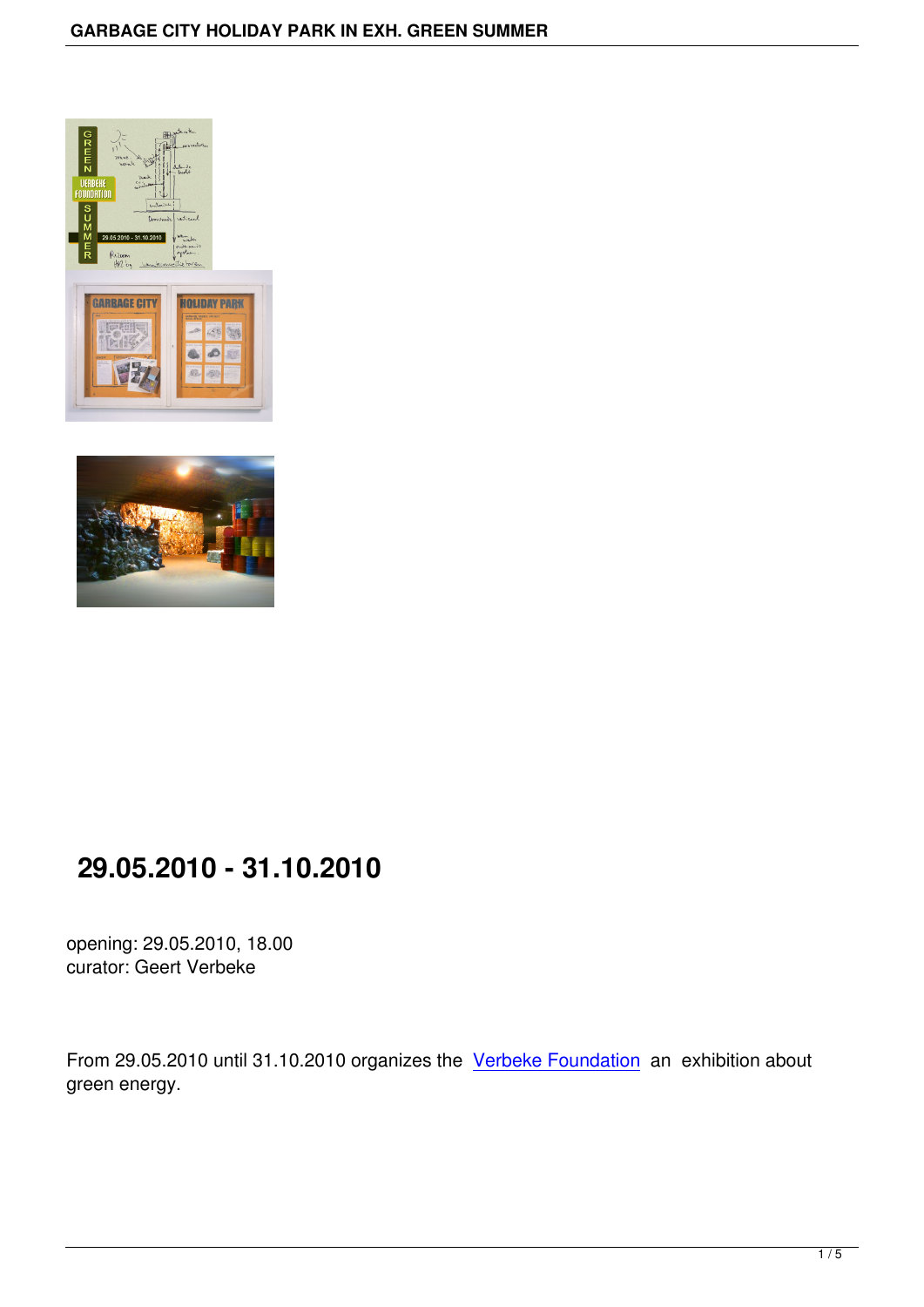





## **29.05.2010 - 31.10.2010**

opening: 29.05.2010, 18.00 curator: Geert Verbeke

From 29.05.2010 until 31.10.2010 organizes the Verbeke Foundation an exhibition about green energy.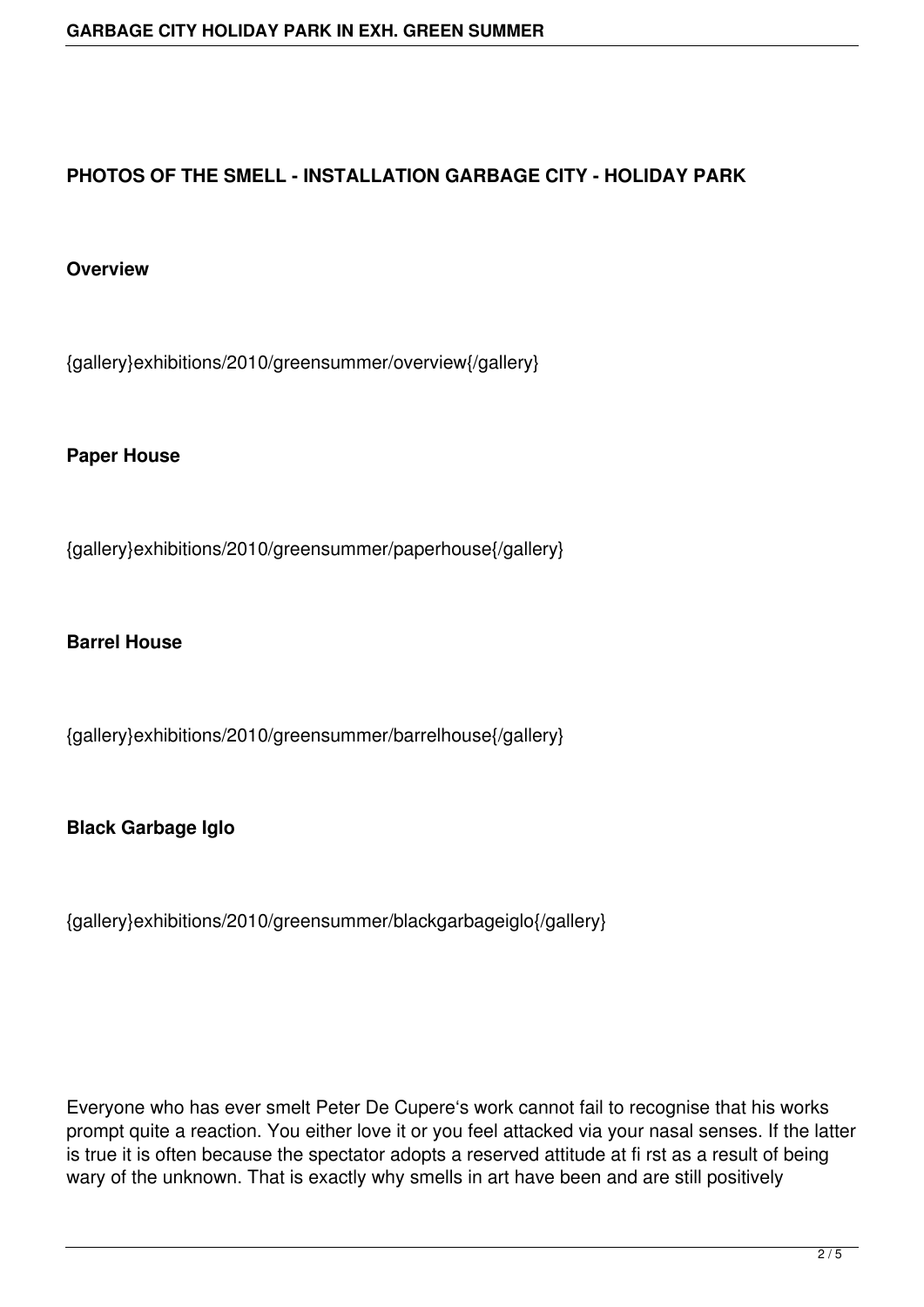## **PHOTOS OF THE SMELL - INSTALLATION GARBAGE CITY - HOLIDAY PARK**

## **Overview**

{gallery}exhibitions/2010/greensummer/overview{/gallery}

## **Paper House**

{gallery}exhibitions/2010/greensummer/paperhouse{/gallery}

**Barrel House**

{gallery}exhibitions/2010/greensummer/barrelhouse{/gallery}

**Black Garbage Iglo**

{gallery}exhibitions/2010/greensummer/blackgarbageiglo{/gallery}

Everyone who has ever smelt Peter De Cupere's work cannot fail to recognise that his works prompt quite a reaction. You either love it or you feel attacked via your nasal senses. If the latter is true it is often because the spectator adopts a reserved attitude at fi rst as a result of being wary of the unknown. That is exactly why smells in art have been and are still positively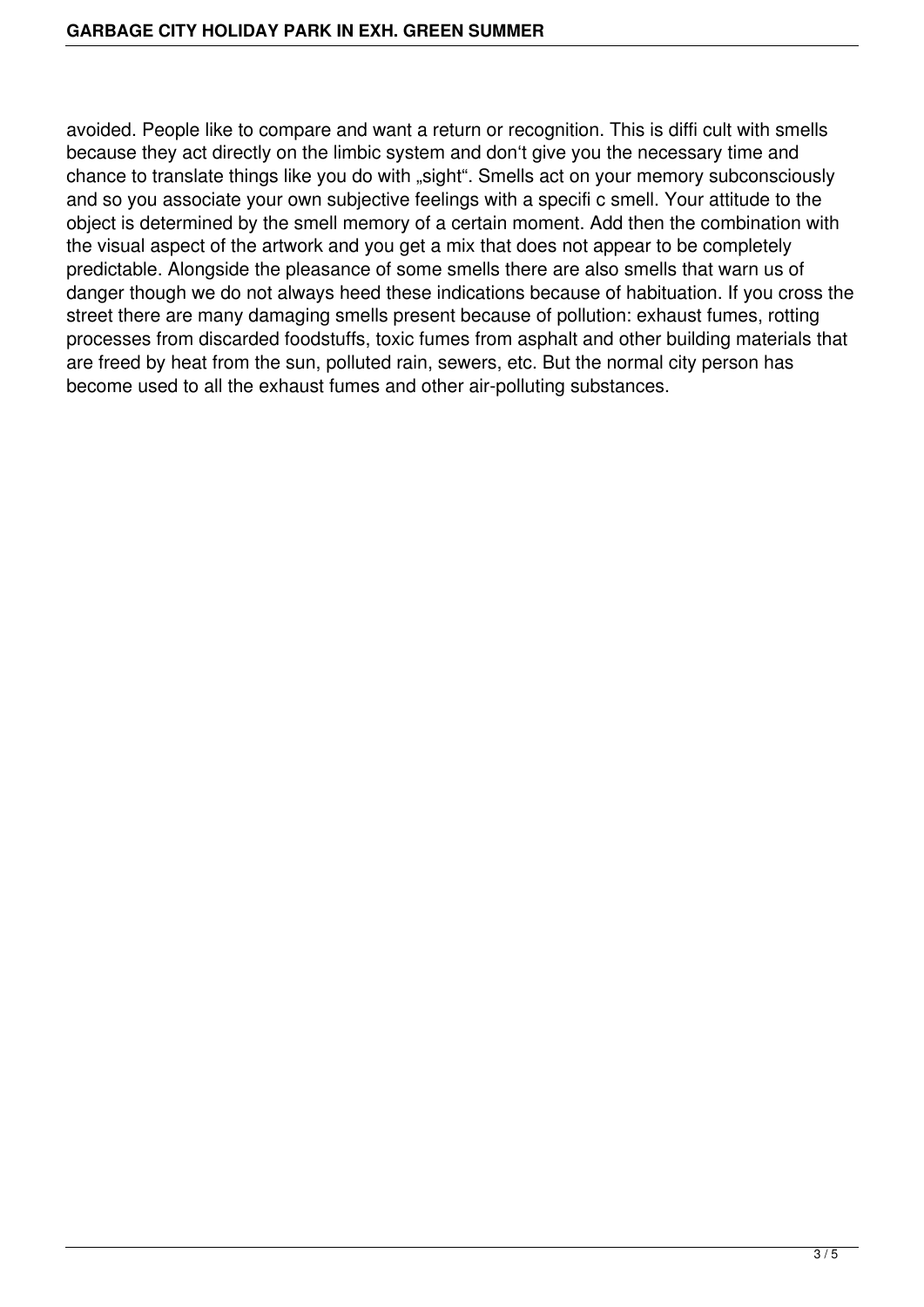avoided. People like to compare and want a return or recognition. This is diffi cult with smells because they act directly on the limbic system and don't give you the necessary time and chance to translate things like you do with "sight". Smells act on your memory subconsciously and so you associate your own subjective feelings with a specifi c smell. Your attitude to the object is determined by the smell memory of a certain moment. Add then the combination with the visual aspect of the artwork and you get a mix that does not appear to be completely predictable. Alongside the pleasance of some smells there are also smells that warn us of danger though we do not always heed these indications because of habituation. If you cross the street there are many damaging smells present because of pollution: exhaust fumes, rotting processes from discarded foodstuffs, toxic fumes from asphalt and other building materials that are freed by heat from the sun, polluted rain, sewers, etc. But the normal city person has become used to all the exhaust fumes and other air-polluting substances.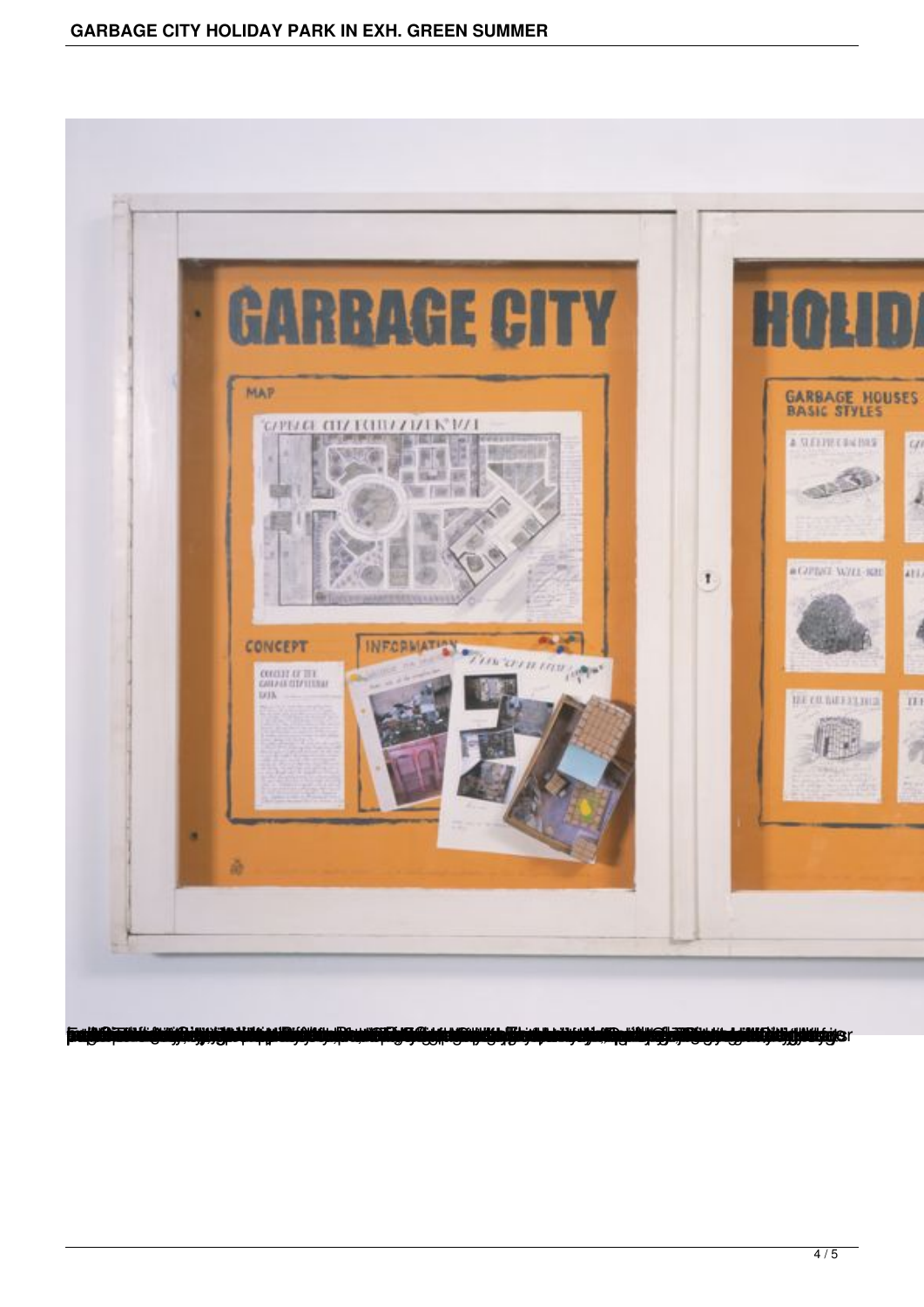